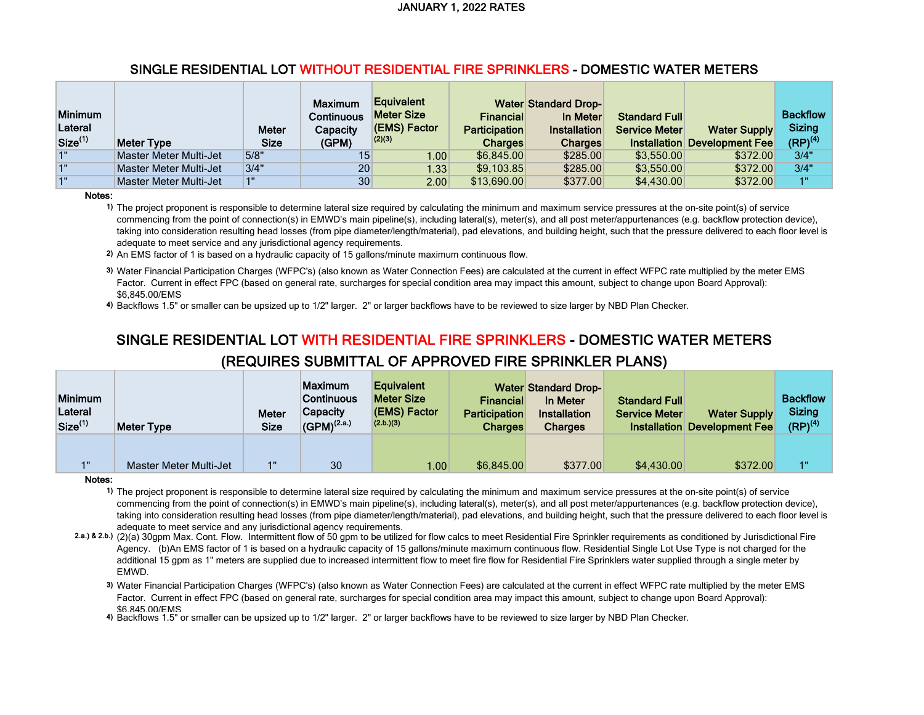| <b>Minimum</b><br>Lateral<br>Size <sup>(1)</sup> | Meter Type             | <b>Meter</b><br><b>Size</b> | <b>Maximum</b><br>Continuous<br>Capacity<br>(GPM) | <b>Equivalent</b><br>Meter Size<br>(EMS) Factor<br>(2)(3) | <b>Financial</b><br><b>Participation</b><br><b>Charges</b> | <b>Water Standard Drop-</b><br>In Meter<br><b>Installation</b><br><b>Charges</b> | <b>Standard Full</b><br><b>Service Meter</b> | <b>Water Supply</b><br><b>Installation Development Fee</b> | <b>Backflow</b><br><b>Sizing</b><br>$(RP)^{(4)}$ |
|--------------------------------------------------|------------------------|-----------------------------|---------------------------------------------------|-----------------------------------------------------------|------------------------------------------------------------|----------------------------------------------------------------------------------|----------------------------------------------|------------------------------------------------------------|--------------------------------------------------|
|                                                  |                        |                             |                                                   |                                                           |                                                            |                                                                                  |                                              |                                                            |                                                  |
| 40                                               | Master Meter Multi-Jet | 5/8"                        | 15                                                | 1.00                                                      | \$6.845.00                                                 | \$285.00                                                                         | \$3.550.00                                   | \$372.00                                                   | 3/4"                                             |
| 4 <sub>II</sub>                                  | Master Meter Multi-Jet | 3/4"                        | 20                                                | 1.33                                                      | \$9,103.85                                                 | \$285.00                                                                         | \$3.550.00                                   | \$372.00                                                   | 3/4"                                             |

Notes:

1) The project proponent is responsible to determine lateral size required by calculating the minimum and maximum service pressures at the on-site point(s) of service commencing from the point of connection(s) in EMWD's main pipeline(s), including lateral(s), meter(s), and all post meter/appurtenances (e.g. backflow protection device), taking into consideration resulting head losses (from pipe diameter/length/material), pad elevations, and building height, such that the pressure delivered to each floor level is adequate to meet service and any jurisdictional agency requirements.

2) An EMS factor of 1 is based on a hydraulic capacity of 15 gallons/minute maximum continuous flow.

3) Water Financial Participation Charges (WFPC's) (also known as Water Connection Fees) are calculated at the current in effect WFPC rate multiplied by the meter EMS Factor. Current in effect FPC (based on general rate, surcharges for special condition area may impact this amount, subject to change upon Board Approval): \$6,845.00/EMS

4) Backflows 1.5" or smaller can be upsized up to 1/2" larger. 2" or larger backflows have to be reviewed to size larger by NBD Plan Checker.

# SINGLE RESIDENTIAL LOT WITH RESIDENTIAL FIRE SPRINKLERS - DOMESTIC WATER METERS (REQUIRES SUBMITTAL OF APPROVED FIRE SPRINKLER PLANS)

| <b>Minimum</b><br>Lateral<br>Size <sup>(1)</sup> | <b>Meter Type</b>      | Meter<br><b>Size</b> | <b>Maximum</b><br><b>Continuous</b><br>Capacity<br>$ $ (GPM) <sup>(2.a.)</sup> | <b>Equivalent</b><br><b>Meter Size</b><br>(EMS) Factor<br>(2.b.)(3) | Financial<br><b>Participation</b><br><b>Charges</b> | <b>Water Standard Drop-</b><br>In Meter<br>Installation<br><b>Charges</b> | <b>Standard Full</b><br><b>Service Meter</b> | <b>Water Supply</b><br><b>Installation Development Fee</b> | <b>Backflow</b><br><b>Sizing</b><br>$(RP)^{(4)}$ |
|--------------------------------------------------|------------------------|----------------------|--------------------------------------------------------------------------------|---------------------------------------------------------------------|-----------------------------------------------------|---------------------------------------------------------------------------|----------------------------------------------|------------------------------------------------------------|--------------------------------------------------|
| <b>4 H</b>                                       | Master Meter Multi-Jet | $-1$ $\overline{1}$  | 30                                                                             | 1.00                                                                | \$6,845,00                                          | \$377.00                                                                  | \$4,430,00                                   | \$372.00                                                   | 1"                                               |

#### Notes:

1) The project proponent is responsible to determine lateral size required by calculating the minimum and maximum service pressures at the on-site point(s) of service commencing from the point of connection(s) in EMWD's main pipeline(s), including lateral(s), meter(s), and all post meter/appurtenances (e.g. backflow protection device), taking into consideration resulting head losses (from pipe diameter/length/material), pad elevations, and building height, such that the pressure delivered to each floor level is adequate to meet service and any jurisdictional agency requirements.

2.a.) & 2.b.) (2)(a) 30gpm Max. Cont. Flow. Intermittent flow of 50 gpm to be utilized for flow calcs to meet Residential Fire Sprinkler requirements as conditioned by Jurisdictional Fire Agency. (b)An EMS factor of 1 is based on a hydraulic capacity of 15 gallons/minute maximum continuous flow. Residential Single Lot Use Type is not charged for the additional 15 gpm as 1" meters are supplied due to increased intermittent flow to meet fire flow for Residential Fire Sprinklers water supplied through a single meter by **EMWD.** 

3) Water Financial Participation Charges (WFPC's) (also known as Water Connection Fees) are calculated at the current in effect WFPC rate multiplied by the meter EMS Factor. Current in effect FPC (based on general rate, surcharges for special condition area may impact this amount, subject to change upon Board Approval): \$6,845.00/EMS

4) Backflows 1.5" or smaller can be upsized up to 1/2" larger. 2" or larger backflows have to be reviewed to size larger by NBD Plan Checker.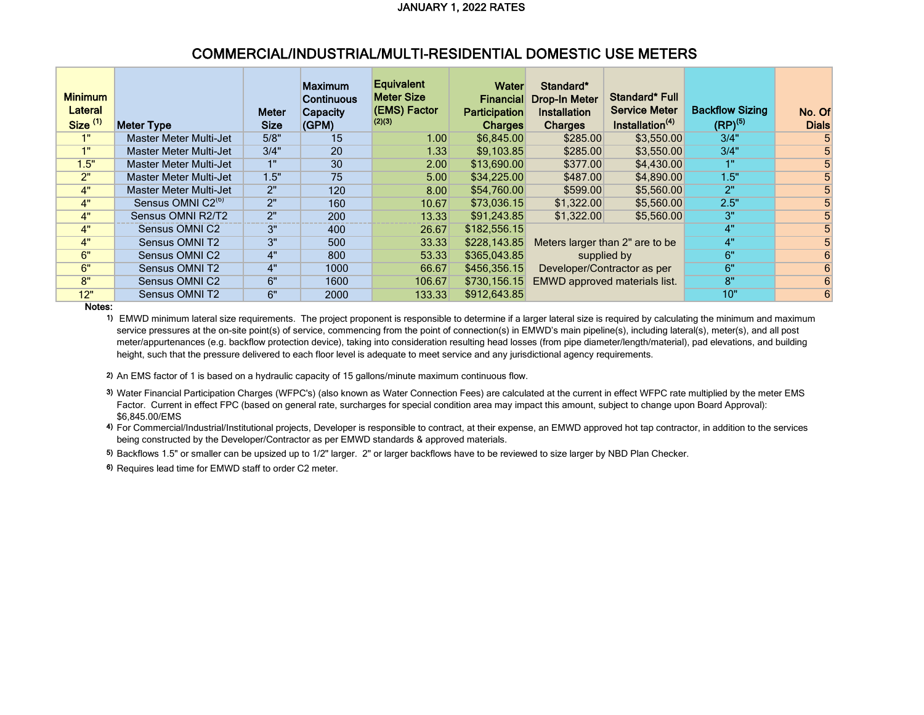### COMMERCIAL/INDUSTRIAL/MULTI-RESIDENTIAL DOMESTIC USE METERS

| <b>Minimum</b><br>Lateral<br>Size <sup>(1)</sup> | <b>Meter Type</b>             | <b>Meter</b><br><b>Size</b> | <b>Maximum</b><br><b>Continuous</b><br>Capacity<br>(GPM) | <b>Equivalent</b><br><b>Meter Size</b><br>(EMS) Factor<br>(2)(3) | Water<br><b>Financial</b><br><b>Participation</b><br><b>Charges</b> | Standard*<br><b>Drop-In Meter</b><br><b>Installation</b><br><b>Charges</b> | Standard* Full<br><b>Service Meter</b><br>Installation <sup>(4)</sup> | <b>Backflow Sizing</b><br>$(RP)^{(5)}$ | No. Of<br><b>Dials</b> |
|--------------------------------------------------|-------------------------------|-----------------------------|----------------------------------------------------------|------------------------------------------------------------------|---------------------------------------------------------------------|----------------------------------------------------------------------------|-----------------------------------------------------------------------|----------------------------------------|------------------------|
| 1"                                               | <b>Master Meter Multi-Jet</b> | 5/8"                        | 15                                                       | 1.00                                                             | \$6,845.00                                                          | \$285.00                                                                   | \$3,550.00                                                            | 3/4"                                   |                        |
| 1"                                               | Master Meter Multi-Jet        | 3/4"                        | 20                                                       | 1.33                                                             | \$9.103.85                                                          | \$285.00                                                                   | \$3,550.00                                                            | 3/4"                                   |                        |
| 1.5"                                             | Master Meter Multi-Jet        | 1"                          | 30                                                       | 2.00                                                             | \$13,690.00                                                         | \$377.00                                                                   | \$4,430.00                                                            | 1"                                     |                        |
| 2"                                               | <b>Master Meter Multi-Jet</b> | 1.5"                        | 75                                                       | 5.00                                                             | \$34,225.00                                                         | \$487.00                                                                   | \$4,890.00                                                            | 1.5"                                   |                        |
| 4"                                               | <b>Master Meter Multi-Jet</b> | 2"                          | 120                                                      | 8.00                                                             | \$54,760.00                                                         | \$599.00                                                                   | \$5,560.00                                                            | 2"                                     |                        |
| 4"                                               | Sensus OMNI C2 <sup>(b)</sup> | 2"                          | 160                                                      | 10.67                                                            | \$73.036.15                                                         | \$1,322.00                                                                 | \$5,560.00                                                            | 2.5"                                   |                        |
| 4"                                               | Sensus OMNI R2/T2             | 2"                          | 200                                                      | 13.33                                                            | \$91,243.85                                                         | \$1,322.00                                                                 | \$5,560.00                                                            | 3"                                     | 5                      |
| 4"                                               | Sensus OMNI C2                | 3"                          | 400                                                      | 26.67                                                            | \$182,556.15                                                        |                                                                            |                                                                       | 4"                                     | 5                      |
| 4"                                               | Sensus OMNI T2                | 3"                          | 500                                                      | 33.33                                                            | \$228,143.85                                                        |                                                                            | Meters larger than 2" are to be                                       | 4"                                     | 5                      |
| 6"                                               | Sensus OMNI C2                | 4"                          | 800                                                      | 53.33                                                            | \$365,043.85                                                        |                                                                            | supplied by                                                           | 6"                                     | 6                      |
| 6"                                               | Sensus OMNI T2                | 4"                          | 1000                                                     | 66.67                                                            | \$456,356.15                                                        |                                                                            | Developer/Contractor as per                                           | 6"                                     | 6                      |
| 8"                                               | Sensus OMNI C2                | 6"                          | 1600                                                     | 106.67                                                           | \$730,156.15                                                        |                                                                            | EMWD approved materials list.                                         | 8"                                     | 6                      |
| 12"                                              | Sensus OMNI T2                | 6"                          | 2000                                                     | 133.33                                                           | \$912,643.85                                                        |                                                                            |                                                                       | 10"                                    | 6                      |

Notes:

1) EMWD minimum lateral size requirements. The project proponent is responsible to determine if a larger lateral size is required by calculating the minimum and maximum service pressures at the on-site point(s) of service, commencing from the point of connection(s) in EMWD's main pipeline(s), including lateral(s), meter(s), and all post meter/appurtenances (e.g. backflow protection device), taking into consideration resulting head losses (from pipe diameter/length/material), pad elevations, and building height, such that the pressure delivered to each floor level is adequate to meet service and any jurisdictional agency requirements.

2) An EMS factor of 1 is based on a hydraulic capacity of 15 gallons/minute maximum continuous flow.

3) Water Financial Participation Charges (WFPC's) (also known as Water Connection Fees) are calculated at the current in effect WFPC rate multiplied by the meter EMS Factor. Current in effect FPC (based on general rate, surcharges for special condition area may impact this amount, subject to change upon Board Approval): \$6,845.00/EMS

4) For Commercial/Industrial/Institutional projects, Developer is responsible to contract, at their expense, an EMWD approved hot tap contractor, in addition to the services being constructed by the Developer/Contractor as per EMWD standards & approved materials.

5) Backflows 1.5" or smaller can be upsized up to 1/2" larger. 2" or larger backflows have to be reviewed to size larger by NBD Plan Checker.

6) Requires lead time for EMWD staff to order C2 meter.